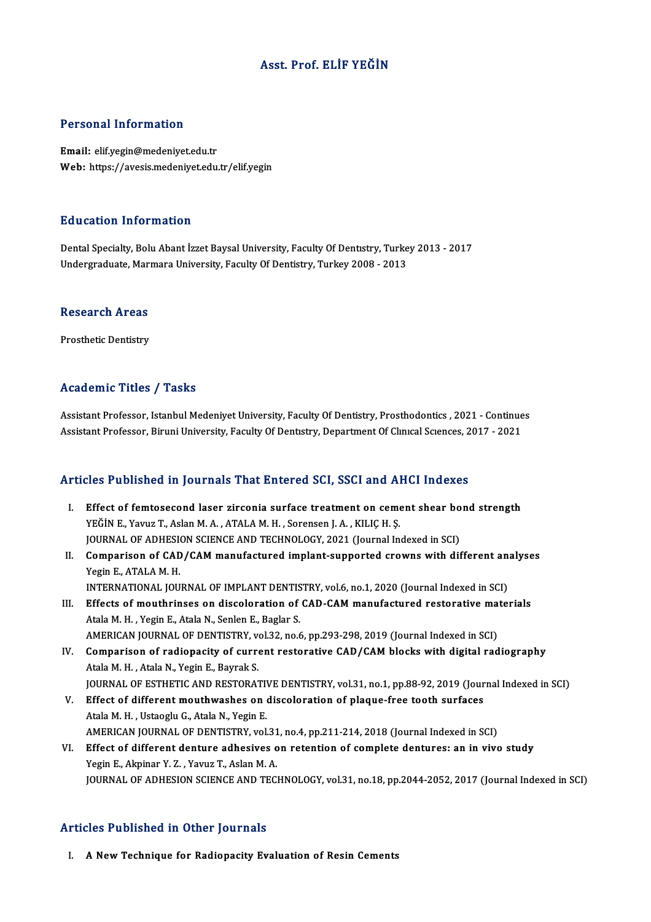## Asst. Prof. ELİF YEĞİN

### Personal Information

Email: elif.yegin@medeniyet.edu.tr Web: https://avesis.medeniyet.edu.tr/elif.yegin

### Education Information

Education Information<br>Dental Specialty, Bolu Abant İzzet Baysal University, Faculty Of Dentıstry, Turkey 2013 - 2017<br>Undergraduate Marmara University, Faculty Of Dentistry, Turkey 2008 - 2013 Luusation Throt mucron<br>Dental Specialty, Bolu Abant İzzet Baysal University, Faculty Of Dentistry, Turke<br>Undergraduate, Marmara University, Faculty Of Dentistry, Turkey 2008 - 2013 Undergraduate, Marmara University, Faculty Of Dentistry, Turkey 2008 - 2013<br>Research Areas

Prosthetic Dentistry

## Academic Titles / Tasks

Academic Titles / Tasks<br>Assistant Professor, Istanbul Medeniyet University, Faculty Of Dentistry, Prosthodontics , 2021 - Continues<br>Assistant Professor, Biruni University, Faculty Of Dentistry, Denertment Of Clinical Scien Assistant Professor, Istanbul Medeniyet University, Faculty Of Dentistry, Prosthodontics , 2021 - Continue<br>Assistant Professor, Biruni University, Faculty Of Dentistry, Department Of Clinical Sciences, 2017 - 2021 Assistant Professor, Biruni University, Faculty Of Dentistry, Department Of Clinical Sciences, 2017 - 2021<br>Articles Published in Journals That Entered SCI, SSCI and AHCI Indexes

- rticles Published in Journals That Entered SCI, SSCI and AHCI Indexes<br>I. Effect of femtosecond laser zirconia surface treatment on cement shear bond strength<br>VEČIN E. VOULT Aclan M.A. ATALAM H. SOFOROOD LA, KULC H.S. YEĞİNE., Yavuz T., Aslan M.A., ATALA M.H., Sorensen J.A., KILIÇH. Ş.<br>YEĞİN E., Yavuz T., Aslan M.A., ATALAM.H., Sorensen J.A., KILIÇH. Ş.<br>JOUPMAL OF ADUESION SCIENCE AND TECUNOLOCY. 2021 (Journal In Effect of femtosecond laser zirconia surface treatment on cement shear bo<br>YEĞİN E., Yavuz T., Aslan M. A. , ATALA M. H. , Sorensen J. A. , KILIÇ H. Ş.<br>JOURNAL OF ADHESION SCIENCE AND TECHNOLOGY, 2021 (Journal Indexed in SC YEĞİN E., Yavuz T., Aslan M. A. , ATALA M. H. , Sorensen J. A. , KILIÇ H. Ş.<br>JOURNAL OF ADHESION SCIENCE AND TECHNOLOGY, 2021 (Journal Indexed in SCI)<br>II. Comparison of CAD/CAM manufactured implant-supported crowns with di
- **JOURNAL OF ADHESIC<br>Comparison of CAD<br>Yegin E., ATALA M. H.<br>INTERNATIONAL IOU** Comparison of CAD/CAM manufactured implant-supported crowns with different an:<br>Yegin E., ATALA M. H.<br>INTERNATIONAL JOURNAL OF IMPLANT DENTISTRY, vol.6, no.1, 2020 (Journal Indexed in SCI)<br>Effects of mouthniness on dissolar Yegin E., ATALA M. H.<br>INTERNATIONAL JOURNAL OF IMPLANT DENTISTRY, vol.6, no.1, 2020 (Journal Indexed in SCI)<br>III. Effects of mouthrinses on discoloration of CAD-CAM manufactured restorative materials
- INTERNATIONAL JOURNAL OF IMPLANT DENTIS<br>Effects of mouthrinses on discoloration of<br>Atala M. H. , Yegin E., Atala N., Senlen E., Baglar S.<br>AMERICAN JOURNAL OF DENTISTRY vol.32, no.6 Effects of mouthrinses on discoloration of CAD-CAM manufactured restorative making the Manufacture of the Manu<br>Atala M. H. , Yegin E., Atala N., Senlen E., Baglar S.<br>AMERICAN JOURNAL OF DENTISTRY, vol.32, no.6, pp.293-298, Atala M. H. , Yegin E., Atala N., Senlen E., Baglar S.<br>AMERICAN JOURNAL OF DENTISTRY, vol.32, no.6, pp.293-298, 2019 (Journal Indexed in SCI)<br>IV. Comparison of radiopacity of current restorative CAD/CAM blocks with digital
- AMERICAN JOURNAL OF DENTISTRY, v<br>Comparison of radiopacity of curre<br>Atala M. H. , Atala N., Yegin E., Bayrak S.<br>JOUPNAL OF ESTHETIC AND PESTOPA? Comparison of radiopacity of current restorative CAD/CAM blocks with digital radiography<br>Atala M. H., Atala N., Yegin E., Bayrak S.<br>JOURNAL OF ESTHETIC AND RESTORATIVE DENTISTRY, vol.31, no.1, pp.88-92, 2019 (Journal Index
- Atala M. H., Atala N., Yegin E., Bayrak S.<br>JOURNAL OF ESTHETIC AND RESTORATIVE DENTISTRY, vol.31, no.1, pp.88-92, 2019 (Jour<br>V. Effect of different mouthwashes on discoloration of plaque-free tooth surfaces **JOURNAL OF ESTHETIC AND RESTORATIVE Effect of different mouthwashes on (**<br>Atala M. H. , Ustaoglu G., Atala N., Yegin E.<br>AMERICAN JOURNAL OF DENTISTRY vol Effect of different mouthwashes on discoloration of plaque-free tooth surfaces<br>Atala M. H. , Ustaoglu G., Atala N., Yegin E.<br>AMERICAN JOURNAL OF DENTISTRY, vol.31, no.4, pp.211-214, 2018 (Journal Indexed in SCI)<br>Effect of
	-
- Atala M. H., Ustaoglu G., Atala N., Yegin E.<br>AMERICAN JOURNAL OF DENTISTRY, vol.31, no.4, pp.211-214, 2018 (Journal Indexed in SCI)<br>VI. Effect of different denture adhesives on retention of complete dentures: an in vivo st AMERICAN JOURNAL OF DENTISTRY, vol.31<br>Effect of different denture adhesives of<br>Yegin E., Akpinar Y. Z. , Yavuz T., Aslan M. A.<br>JOURNAL OF ADHESION SCIENCE AND TEC Effect of different denture adhesives on retention of complete dentures: an in vivo study<br>Yegin E., Akpinar Y. Z. , Yavuz T., Aslan M. A.<br>JOURNAL OF ADHESION SCIENCE AND TECHNOLOGY, vol.31, no.18, pp.2044-2052, 2017 (Journ JOURNAL OF ADHESION SCIENCE AND TECHNOLOGY, vol.31, no.18, pp.2044-2052, 2017 (Journal Indexed in SCI)<br>Articles Published in Other Journals

I. A NewTechnique for Radiopacity Evaluation of Resin Cements